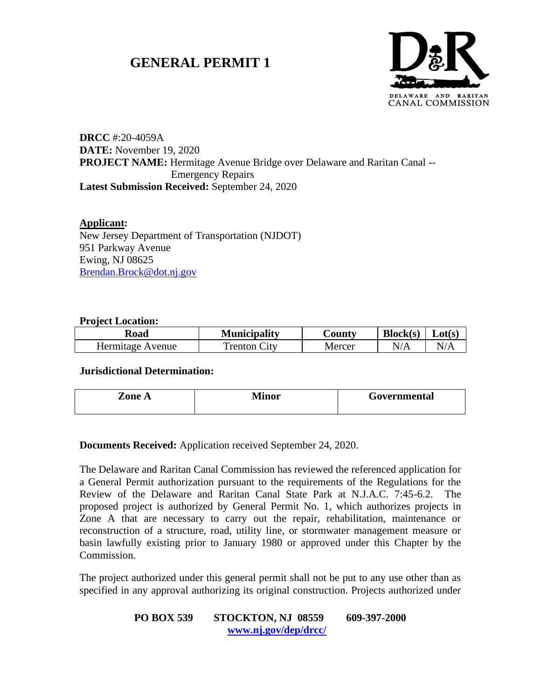# **GENERAL PERMIT 1**



# **DRCC** #:20-4059A **DATE:** November 19, 2020 **PROJECT NAME:** Hermitage Avenue Bridge over Delaware and Raritan Canal -- Emergency Repairs **Latest Submission Received:** September 24, 2020

## **Applicant:**

New Jersey Department of Transportation (NJDOT) 951 Parkway Avenue Ewing, NJ 08625 [Brendan.Brock@dot.nj.gov](mailto:Brendan.Brock@dot.nj.gov)

## **Project Location:**

| Road             | <b>Municipality</b> | ∠ountv | Block(s)     | $\mathcal{L}ot(s)$ |
|------------------|---------------------|--------|--------------|--------------------|
| Hermitage Avenue | Tenton City         | Mercer | $\mathbb{N}$ |                    |

#### **Jurisdictional Determination:**

| <b>Lone A</b> | Minor | Governmental |
|---------------|-------|--------------|
|               |       |              |

**Documents Received:** Application received September 24, 2020.

The Delaware and Raritan Canal Commission has reviewed the referenced application for a General Permit authorization pursuant to the requirements of the Regulations for the Review of the Delaware and Raritan Canal State Park at N.J.A.C. 7:45-6.2. The proposed project is authorized by General Permit No. 1, which authorizes projects in Zone A that are necessary to carry out the repair, rehabilitation, maintenance or reconstruction of a structure, road, utility line, or stormwater management measure or basin lawfully existing prior to January 1980 or approved under this Chapter by the Commission.

The project authorized under this general permit shall not be put to any use other than as specified in any approval authorizing its original construction. Projects authorized under

## **PO BOX 539 STOCKTON, NJ 08559 609-397-2000 [www.nj.gov/dep/drcc/](http://www.nj.gov/dep/drcc/)**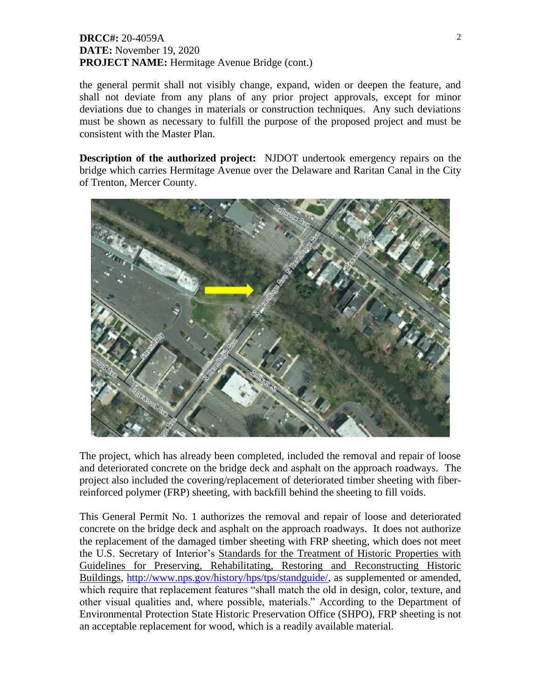## **DRCC#:** 20-4059A **DATE:** November 19, 2020 **PROJECT NAME:** Hermitage Avenue Bridge (cont.)

the general permit shall not visibly change, expand, widen or deepen the feature, and shall not deviate from any plans of any prior project approvals, except for minor deviations due to changes in materials or construction techniques. Any such deviations must be shown as necessary to fulfill the purpose of the proposed project and must be consistent with the Master Plan.

**Description of the authorized project:** NJDOT undertook emergency repairs on the bridge which carries Hermitage Avenue over the Delaware and Raritan Canal in the City of Trenton, Mercer County.



The project, which has already been completed, included the removal and repair of loose and deteriorated concrete on the bridge deck and asphalt on the approach roadways. The project also included the covering/replacement of deteriorated timber sheeting with fiberreinforced polymer (FRP) sheeting, with backfill behind the sheeting to fill voids.

This General Permit No. 1 authorizes the removal and repair of loose and deteriorated concrete on the bridge deck and asphalt on the approach roadways. It does not authorize the replacement of the damaged timber sheeting with FRP sheeting, which does not meet the U.S. Secretary of Interior's Standards for the Treatment of Historic Properties with Guidelines for Preserving, Rehabilitating, Restoring and Reconstructing Historic Buildings, [http://www.nps.gov/history/hps/tps/standguide/,](http://www.nps.gov/history/hps/tps/standguide/) as supplemented or amended, which require that replacement features "shall match the old in design, color, texture, and other visual qualities and, where possible, materials." According to the Department of Environmental Protection State Historic Preservation Office (SHPO), FRP sheeting is not an acceptable replacement for wood, which is a readily available material.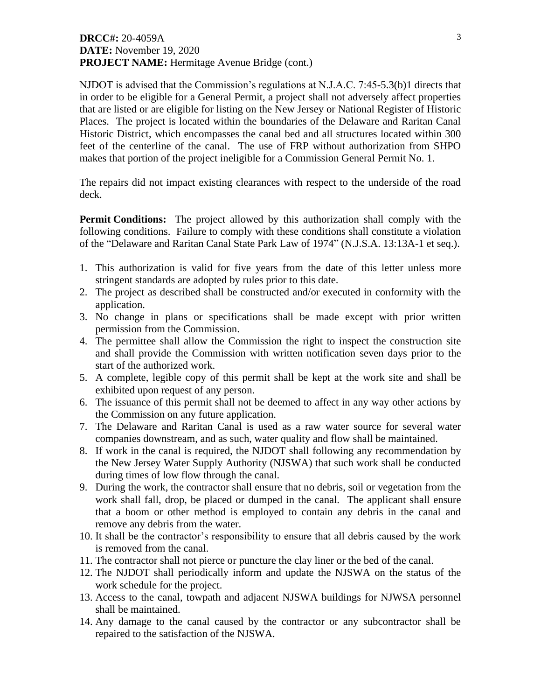## **DRCC#:** 20-4059A **DATE:** November 19, 2020 **PROJECT NAME:** Hermitage Avenue Bridge (cont.)

NJDOT is advised that the Commission's regulations at N.J.A.C. 7:45-5.3(b)1 directs that in order to be eligible for a General Permit, a project shall not adversely affect properties that are listed or are eligible for listing on the New Jersey or National Register of Historic Places. The project is located within the boundaries of the Delaware and Raritan Canal Historic District, which encompasses the canal bed and all structures located within 300 feet of the centerline of the canal. The use of FRP without authorization from SHPO makes that portion of the project ineligible for a Commission General Permit No. 1.

The repairs did not impact existing clearances with respect to the underside of the road deck.

**Permit Conditions:** The project allowed by this authorization shall comply with the following conditions. Failure to comply with these conditions shall constitute a violation of the "Delaware and Raritan Canal State Park Law of 1974" (N.J.S.A. 13:13A-1 et seq.).

- 1. This authorization is valid for five years from the date of this letter unless more stringent standards are adopted by rules prior to this date.
- 2. The project as described shall be constructed and/or executed in conformity with the application.
- 3. No change in plans or specifications shall be made except with prior written permission from the Commission.
- 4. The permittee shall allow the Commission the right to inspect the construction site and shall provide the Commission with written notification seven days prior to the start of the authorized work.
- 5. A complete, legible copy of this permit shall be kept at the work site and shall be exhibited upon request of any person.
- 6. The issuance of this permit shall not be deemed to affect in any way other actions by the Commission on any future application.
- 7. The Delaware and Raritan Canal is used as a raw water source for several water companies downstream, and as such, water quality and flow shall be maintained.
- 8. If work in the canal is required, the NJDOT shall following any recommendation by the New Jersey Water Supply Authority (NJSWA) that such work shall be conducted during times of low flow through the canal.
- 9. During the work, the contractor shall ensure that no debris, soil or vegetation from the work shall fall, drop, be placed or dumped in the canal. The applicant shall ensure that a boom or other method is employed to contain any debris in the canal and remove any debris from the water.
- 10. It shall be the contractor's responsibility to ensure that all debris caused by the work is removed from the canal.
- 11. The contractor shall not pierce or puncture the clay liner or the bed of the canal.
- 12. The NJDOT shall periodically inform and update the NJSWA on the status of the work schedule for the project.
- 13. Access to the canal, towpath and adjacent NJSWA buildings for NJWSA personnel shall be maintained.
- 14. Any damage to the canal caused by the contractor or any subcontractor shall be repaired to the satisfaction of the NJSWA.